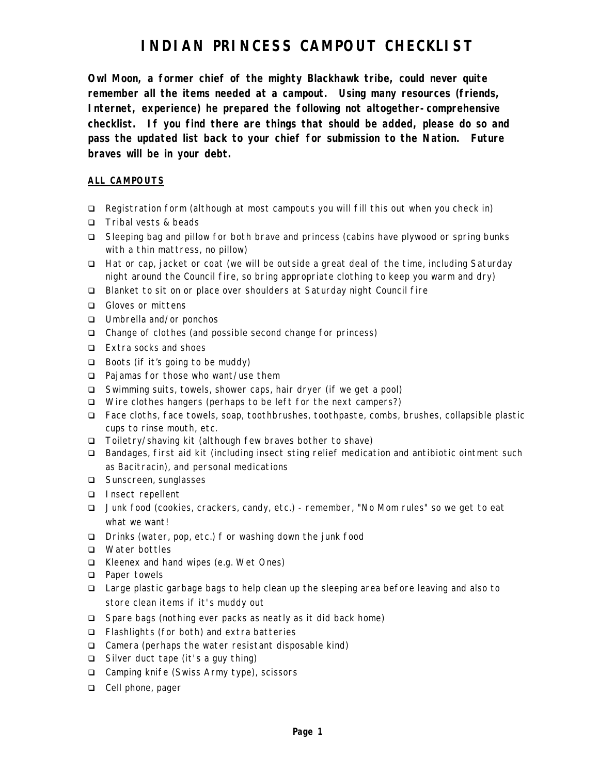## **INDIAN PRINCESS CAMPOUT CHECKLIST**

**Owl Moon, a former chief of the mighty Blackhawk tribe, could never quite remember all the items needed at a campout. Using many resources (friends, Internet, experience) he prepared the following not altogether-comprehensive checklist. If you find there are things that should be added, please do so and pass the updated list back to your chief for submission to the Nation. Future braves will be in your debt.**

#### **ALL CAMPOUTS**

- $\Box$  Registration form (although at most campouts you will fill this out when you check in)
- q Tribal vests & beads
- q Sleeping bag and pillow for both brave and princess (cabins have plywood or spring bunks with a thin mattress, no pillow)
- q Hat or cap, jacket or coat (we will be outside a great deal of the time, including Saturday night around the Council fire, so bring appropriate clothing to keep you warm and dry)
- □ Blanket to sit on or place over shoulders at Saturday night Council fire
- □ Gloves or mittens
- q Umbrella and/or ponchos
- □ Change of clothes (and possible second change for princess)
- q Extra socks and shoes
- $\Box$  Boots (if it's going to be muddy)
- □ Pajamas for those who want/use them
- q Swimming suits, towels, shower caps, hair dryer (if we get a pool)
- □ Wire clothes hangers (perhaps to be left for the next campers?)
- q Face cloths, face towels, soap, toothbrushes, toothpaste, combs, brushes, collapsible plastic cups to rinse mouth, etc.
- q Toiletry/shaving kit (although few braves bother to shave)
- q Bandages, first aid kit (including insect sting relief medication and antibiotic ointment such as Bacitracin), and personal medications
- □ Sunscreen, sunglasses
- q Insect repellent
- q Junk food (cookies, crackers, candy, etc.) remember, "No Mom rules" so we get to eat what we want!
- q Drinks (water, pop, etc.) f or washing down the junk food
- q Water bottles
- q Kleenex and hand wipes (e.g. Wet Ones)
- □ Paper towels
- □ Large plastic garbage bags to help clean up the sleeping area before leaving and also to store clean items if it's muddy out
- □ Spare bags (nothing ever packs as neatly as it did back home)
- q Flashlights (for both) and extra batteries
- □ Camera (perhaps the water resistant disposable kind)
- q Silver duct tape (it's a guy thing)
- q Camping knife (Swiss Army type), scissors
- □ Cell phone, pager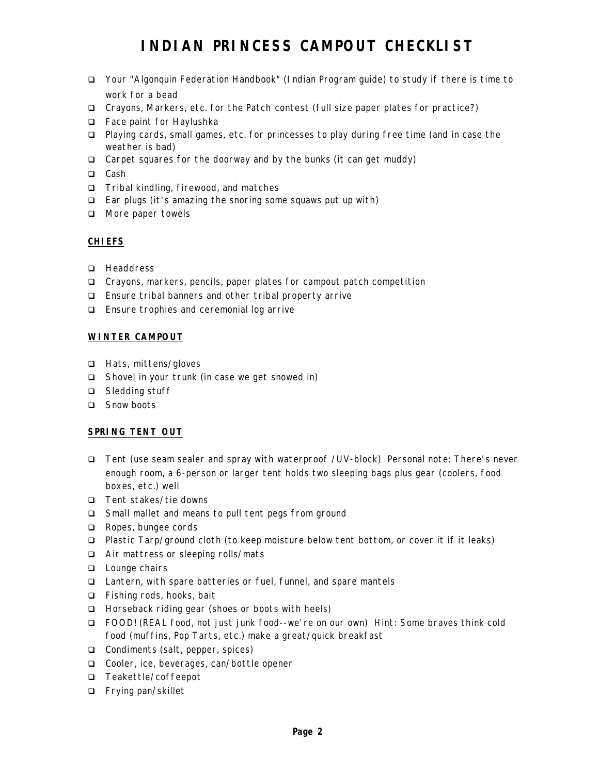# **INDIAN PRINCESS CAMPOUT CHECKLIST**

- q Your "Algonquin Federation Handbook" (Indian Program guide) to study if there is time to work for a bead
- q Crayons, Markers, etc. for the Patch contest (full size paper plates for practice?)
- q Face paint for Haylushka
- q Playing cards, small games, etc. for princesses to play during free time (and in case the weather is bad)
- □ Carpet squares for the doorway and by the bunks (it can get muddy)
- □ Cash
- q Tribal kindling, firewood, and matches
- q Ear plugs (it's amazing the snoring some squaws put up with)
- □ More paper towels

### **CHIEFS**

- **Q** Headdress
- □ Crayons, markers, pencils, paper plates for campout patch competition
- □ Ensure tribal banners and other tribal property arrive
- q Ensure trophies and ceremonial log arrive

### **WINTER CAMPOUT**

- q Hats, mittens/gloves
- □ Shovel in your trunk (in case we get snowed in)
- □ Sledding stuff
- □ Snow boots

### **SPRING TENT OUT**

- q Tent (use seam sealer and spray with waterproof /UV-block) Personal note: There's never enough room, a 6-person or larger tent holds two sleeping bags plus gear (coolers, food boxes, etc.) well
- q Tent stakes/tie downs
- □ Small mallet and means to pull tent pegs from ground
- □ Ropes, bungee cords
- q Plastic Tarp/ground cloth (to keep moisture below tent bottom, or cover it if it leaks)
- q Air mattress or sleeping rolls/mats
- **Q** Lounge chairs
- □ Lantern, with spare batteries or fuel, funnel, and spare mantels
- q Fishing rods, hooks, bait
- □ Horseback riding gear (shoes or boots with heels)
- q FOOD! (REAL food, not just junk food--we're on our own) Hint: Some braves think cold food (muffins, Pop Tarts, etc.) make a great/quick breakfast
- q Condiments (salt, pepper, spices)
- q Cooler, ice, beverages, can/bottle opener
- q Teakettle/coffeepot
- q Frying pan/skillet